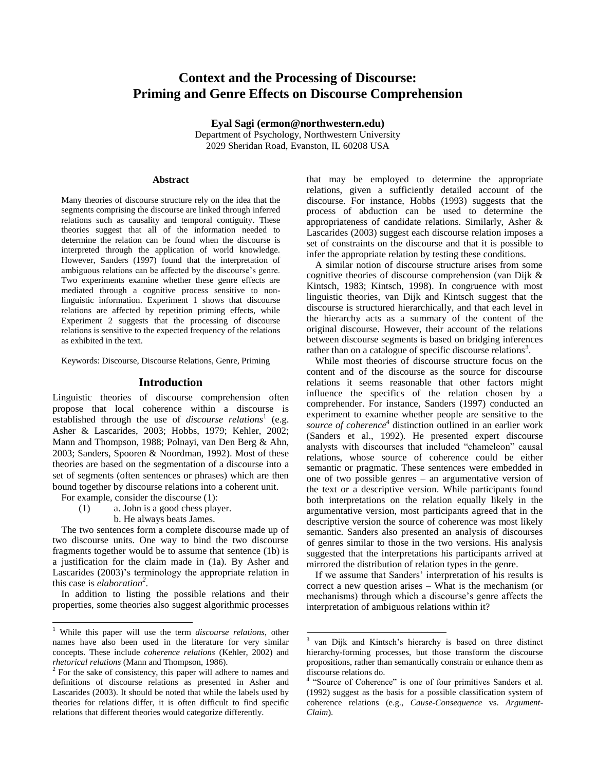# **Context and the Processing of Discourse: Priming and Genre Effects on Discourse Comprehension**

**Eyal Sagi (ermon@northwestern.edu)** Department of Psychology, Northwestern University 2029 Sheridan Road, Evanston, IL 60208 USA

 $\overline{\phantom{a}}$ 

#### **Abstract**

Many theories of discourse structure rely on the idea that the segments comprising the discourse are linked through inferred relations such as causality and temporal contiguity. These theories suggest that all of the information needed to determine the relation can be found when the discourse is interpreted through the application of world knowledge. However, Sanders (1997) found that the interpretation of ambiguous relations can be affected by the discourse's genre. Two experiments examine whether these genre effects are mediated through a cognitive process sensitive to nonlinguistic information. Experiment 1 shows that discourse relations are affected by repetition priming effects, while Experiment 2 suggests that the processing of discourse relations is sensitive to the expected frequency of the relations as exhibited in the text.

Keywords: Discourse, Discourse Relations, Genre, Priming

#### **Introduction**

Linguistic theories of discourse comprehension often propose that local coherence within a discourse is established through the use of *discourse relations*<sup>1</sup> (e.g. Asher & Lascarides, 2003; Hobbs, 1979; Kehler, 2002; Mann and Thompson, 1988; Polnayi, van Den Berg & Ahn, 2003; Sanders, Spooren & Noordman, 1992). Most of these theories are based on the segmentation of a discourse into a set of segments (often sentences or phrases) which are then bound together by discourse relations into a coherent unit.

For example, consider the discourse (1):

 $\overline{a}$ 

- (1) a. John is a good chess player.
	- b. He always beats James.

The two sentences form a complete discourse made up of two discourse units. One way to bind the two discourse fragments together would be to assume that sentence (1b) is a justification for the claim made in (1a). By Asher and Lascarides (2003)'s terminology the appropriate relation in this case is *elaboration<sup>2</sup>* .

In addition to listing the possible relations and their properties, some theories also suggest algorithmic processes

that may be employed to determine the appropriate relations, given a sufficiently detailed account of the discourse. For instance, Hobbs (1993) suggests that the process of abduction can be used to determine the appropriateness of candidate relations. Similarly, Asher & Lascarides (2003) suggest each discourse relation imposes a set of constraints on the discourse and that it is possible to infer the appropriate relation by testing these conditions.

A similar notion of discourse structure arises from some cognitive theories of discourse comprehension (van Dijk & Kintsch, 1983; Kintsch, 1998). In congruence with most linguistic theories, van Dijk and Kintsch suggest that the discourse is structured hierarchically, and that each level in the hierarchy acts as a summary of the content of the original discourse. However, their account of the relations between discourse segments is based on bridging inferences rather than on a catalogue of specific discourse relations<sup>3</sup>.

While most theories of discourse structure focus on the content and of the discourse as the source for discourse relations it seems reasonable that other factors might influence the specifics of the relation chosen by a comprehender. For instance, Sanders (1997) conducted an experiment to examine whether people are sensitive to the *source of coherence* 4 distinction outlined in an earlier work (Sanders et al., 1992). He presented expert discourse analysts with discourses that included "chameleon" causal relations, whose source of coherence could be either semantic or pragmatic. These sentences were embedded in one of two possible genres – an argumentative version of the text or a descriptive version. While participants found both interpretations on the relation equally likely in the argumentative version, most participants agreed that in the descriptive version the source of coherence was most likely semantic. Sanders also presented an analysis of discourses of genres similar to those in the two versions. His analysis suggested that the interpretations his participants arrived at mirrored the distribution of relation types in the genre.

If we assume that Sanders' interpretation of his results is correct a new question arises – What is the mechanism (or mechanisms) through which a discourse's genre affects the interpretation of ambiguous relations within it?

<sup>1</sup> While this paper will use the term *discourse relations*, other names have also been used in the literature for very similar concepts. These include *coherence relations* (Kehler, 2002) and *rhetorical relations* (Mann and Thompson, 1986).

<sup>&</sup>lt;sup>2</sup> For the sake of consistency, this paper will adhere to names and definitions of discourse relations as presented in Asher and Lascarides (2003). It should be noted that while the labels used by theories for relations differ, it is often difficult to find specific relations that different theories would categorize differently.

<sup>3</sup> van Dijk and Kintsch's hierarchy is based on three distinct hierarchy-forming processes, but those transform the discourse propositions, rather than semantically constrain or enhance them as discourse relations do.

<sup>&</sup>lt;sup>4</sup> "Source of Coherence" is one of four primitives Sanders et al. (1992) suggest as the basis for a possible classification system of coherence relations (e.g., *Cause-Consequence* vs. *Argument-Claim*).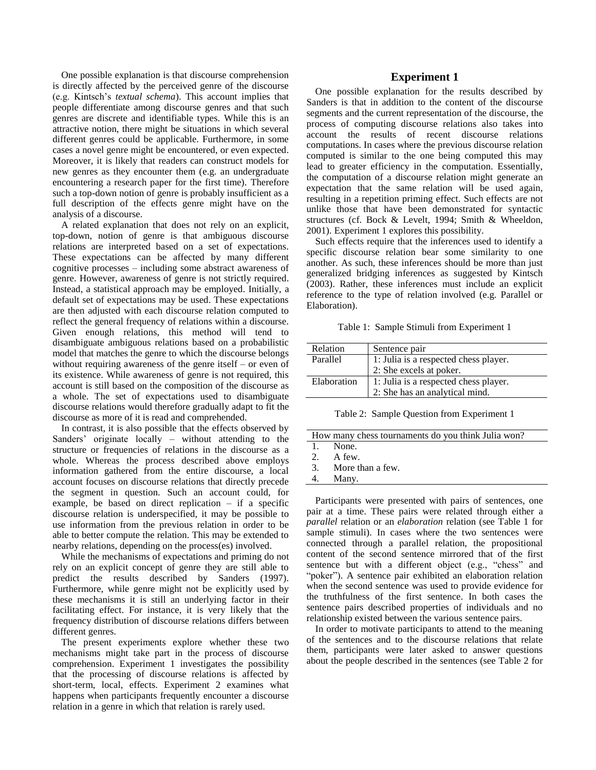One possible explanation is that discourse comprehension is directly affected by the perceived genre of the discourse (e.g. Kintsch's *textual schema*). This account implies that people differentiate among discourse genres and that such genres are discrete and identifiable types. While this is an attractive notion, there might be situations in which several different genres could be applicable. Furthermore, in some cases a novel genre might be encountered, or even expected. Moreover, it is likely that readers can construct models for new genres as they encounter them (e.g. an undergraduate encountering a research paper for the first time). Therefore such a top-down notion of genre is probably insufficient as a full description of the effects genre might have on the analysis of a discourse.

A related explanation that does not rely on an explicit, top-down, notion of genre is that ambiguous discourse relations are interpreted based on a set of expectations. These expectations can be affected by many different cognitive processes – including some abstract awareness of genre. However, awareness of genre is not strictly required. Instead, a statistical approach may be employed. Initially, a default set of expectations may be used. These expectations are then adjusted with each discourse relation computed to reflect the general frequency of relations within a discourse. Given enough relations, this method will tend to disambiguate ambiguous relations based on a probabilistic model that matches the genre to which the discourse belongs without requiring awareness of the genre itself – or even of its existence. While awareness of genre is not required, this account is still based on the composition of the discourse as a whole. The set of expectations used to disambiguate discourse relations would therefore gradually adapt to fit the discourse as more of it is read and comprehended.

In contrast, it is also possible that the effects observed by Sanders' originate locally – without attending to the structure or frequencies of relations in the discourse as a whole. Whereas the process described above employs information gathered from the entire discourse, a local account focuses on discourse relations that directly precede the segment in question. Such an account could, for example, be based on direct replication – if a specific discourse relation is underspecified, it may be possible to use information from the previous relation in order to be able to better compute the relation. This may be extended to nearby relations, depending on the process(es) involved.

While the mechanisms of expectations and priming do not rely on an explicit concept of genre they are still able to predict the results described by Sanders (1997). Furthermore, while genre might not be explicitly used by these mechanisms it is still an underlying factor in their facilitating effect. For instance, it is very likely that the frequency distribution of discourse relations differs between different genres.

The present experiments explore whether these two mechanisms might take part in the process of discourse comprehension. Experiment 1 investigates the possibility that the processing of discourse relations is affected by short-term, local, effects. Experiment 2 examines what happens when participants frequently encounter a discourse relation in a genre in which that relation is rarely used.

# **Experiment 1**

One possible explanation for the results described by Sanders is that in addition to the content of the discourse segments and the current representation of the discourse, the process of computing discourse relations also takes into account the results of recent discourse relations computations. In cases where the previous discourse relation computed is similar to the one being computed this may lead to greater efficiency in the computation. Essentially, the computation of a discourse relation might generate an expectation that the same relation will be used again, resulting in a repetition priming effect. Such effects are not unlike those that have been demonstrated for syntactic structures (cf. Bock & Levelt, 1994; Smith & Wheeldon, 2001). Experiment 1 explores this possibility.

Such effects require that the inferences used to identify a specific discourse relation bear some similarity to one another. As such, these inferences should be more than just generalized bridging inferences as suggested by Kintsch (2003). Rather, these inferences must include an explicit reference to the type of relation involved (e.g. Parallel or Elaboration).

Table 1: Sample Stimuli from Experiment 1

| Relation    | Sentence pair                         |  |
|-------------|---------------------------------------|--|
| Parallel    | 1: Julia is a respected chess player. |  |
|             | 2: She excels at poker.               |  |
| Elaboration | 1: Julia is a respected chess player. |  |
|             | 2: She has an analytical mind.        |  |

Table 2: Sample Question from Experiment 1

| How many chess tournaments do you think Julia won? |                     |  |
|----------------------------------------------------|---------------------|--|
|                                                    | 1. None.            |  |
|                                                    | 2. A few.           |  |
|                                                    | 3. More than a few. |  |
| 4.                                                 | Many.               |  |
|                                                    |                     |  |

Participants were presented with pairs of sentences, one pair at a time. These pairs were related through either a *parallel* relation or an *elaboration* relation (see Table 1 for sample stimuli). In cases where the two sentences were connected through a parallel relation, the propositional content of the second sentence mirrored that of the first sentence but with a different object (e.g., "chess" and "poker"). A sentence pair exhibited an elaboration relation when the second sentence was used to provide evidence for the truthfulness of the first sentence. In both cases the sentence pairs described properties of individuals and no relationship existed between the various sentence pairs.

In order to motivate participants to attend to the meaning of the sentences and to the discourse relations that relate them, participants were later asked to answer questions about the people described in the sentences (see Table 2 for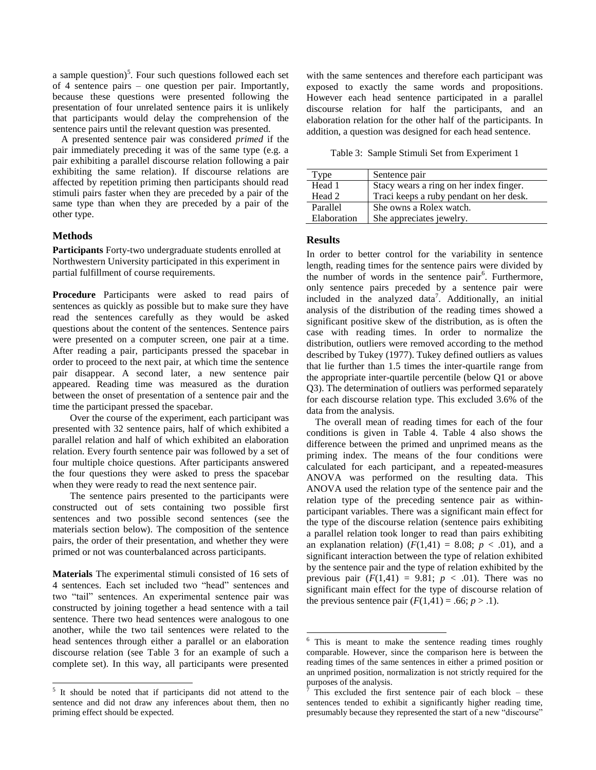a sample question)<sup>5</sup>. Four such questions followed each set of 4 sentence pairs – one question per pair. Importantly, because these questions were presented following the presentation of four unrelated sentence pairs it is unlikely that participants would delay the comprehension of the sentence pairs until the relevant question was presented.

A presented sentence pair was considered *primed* if the pair immediately preceding it was of the same type (e.g. a pair exhibiting a parallel discourse relation following a pair exhibiting the same relation). If discourse relations are affected by repetition priming then participants should read stimuli pairs faster when they are preceded by a pair of the same type than when they are preceded by a pair of the other type.

## **Methods**

 $\overline{\phantom{a}}$ 

**Participants** Forty-two undergraduate students enrolled at Northwestern University participated in this experiment in partial fulfillment of course requirements.

**Procedure** Participants were asked to read pairs of sentences as quickly as possible but to make sure they have read the sentences carefully as they would be asked questions about the content of the sentences. Sentence pairs were presented on a computer screen, one pair at a time. After reading a pair, participants pressed the spacebar in order to proceed to the next pair, at which time the sentence pair disappear. A second later, a new sentence pair appeared. Reading time was measured as the duration between the onset of presentation of a sentence pair and the time the participant pressed the spacebar.

Over the course of the experiment, each participant was presented with 32 sentence pairs, half of which exhibited a parallel relation and half of which exhibited an elaboration relation. Every fourth sentence pair was followed by a set of four multiple choice questions. After participants answered the four questions they were asked to press the spacebar when they were ready to read the next sentence pair.

The sentence pairs presented to the participants were constructed out of sets containing two possible first sentences and two possible second sentences (see the materials section below). The composition of the sentence pairs, the order of their presentation, and whether they were primed or not was counterbalanced across participants.

**Materials** The experimental stimuli consisted of 16 sets of 4 sentences. Each set included two "head" sentences and two "tail" sentences. An experimental sentence pair was constructed by joining together a head sentence with a tail sentence. There two head sentences were analogous to one another, while the two tail sentences were related to the head sentences through either a parallel or an elaboration discourse relation (see Table 3 for an example of such a complete set). In this way, all participants were presented with the same sentences and therefore each participant was exposed to exactly the same words and propositions. However each head sentence participated in a parallel discourse relation for half the participants, and an elaboration relation for the other half of the participants. In addition, a question was designed for each head sentence.

Table 3: Sample Stimuli Set from Experiment 1

| $\Gamma$ <sub>ype</sub> | Sentence pair                           |  |
|-------------------------|-----------------------------------------|--|
| Head 1                  | Stacy wears a ring on her index finger. |  |
| Head 2                  | Traci keeps a ruby pendant on her desk. |  |
| Parallel                | She owns a Rolex watch.                 |  |
| Elaboration             | She appreciates jewelry.                |  |

# **Results**

 $\overline{\phantom{a}}$ 

In order to better control for the variability in sentence length, reading times for the sentence pairs were divided by the number of words in the sentence pair<sup>6</sup>. Furthermore, only sentence pairs preceded by a sentence pair were included in the analyzed data<sup>7</sup>. Additionally, an initial analysis of the distribution of the reading times showed a significant positive skew of the distribution, as is often the case with reading times. In order to normalize the distribution, outliers were removed according to the method described by Tukey (1977). Tukey defined outliers as values that lie further than 1.5 times the inter-quartile range from the appropriate inter-quartile percentile (below Q1 or above Q3). The determination of outliers was performed separately for each discourse relation type. This excluded 3.6% of the data from the analysis.

The overall mean of reading times for each of the four conditions is given in Table 4. Table 4 also shows the difference between the primed and unprimed means as the priming index. The means of the four conditions were calculated for each participant, and a repeated-measures ANOVA was performed on the resulting data. This ANOVA used the relation type of the sentence pair and the relation type of the preceding sentence pair as withinparticipant variables. There was a significant main effect for the type of the discourse relation (sentence pairs exhibiting a parallel relation took longer to read than pairs exhibiting an explanation relation)  $(F(1,41) = 8.08; p < .01)$ , and a significant interaction between the type of relation exhibited by the sentence pair and the type of relation exhibited by the previous pair  $(F(1,41) = 9.81; p < .01)$ . There was no significant main effect for the type of discourse relation of the previous sentence pair  $(F(1,41) = .66; p > .1)$ .

<sup>&</sup>lt;sup>5</sup> It should be noted that if participants did not attend to the sentence and did not draw any inferences about them, then no priming effect should be expected.

 $6$  This is meant to make the sentence reading times roughly comparable. However, since the comparison here is between the reading times of the same sentences in either a primed position or an unprimed position, normalization is not strictly required for the purposes of the analysis.

This excluded the first sentence pair of each block  $-$  these sentences tended to exhibit a significantly higher reading time, presumably because they represented the start of a new "discourse"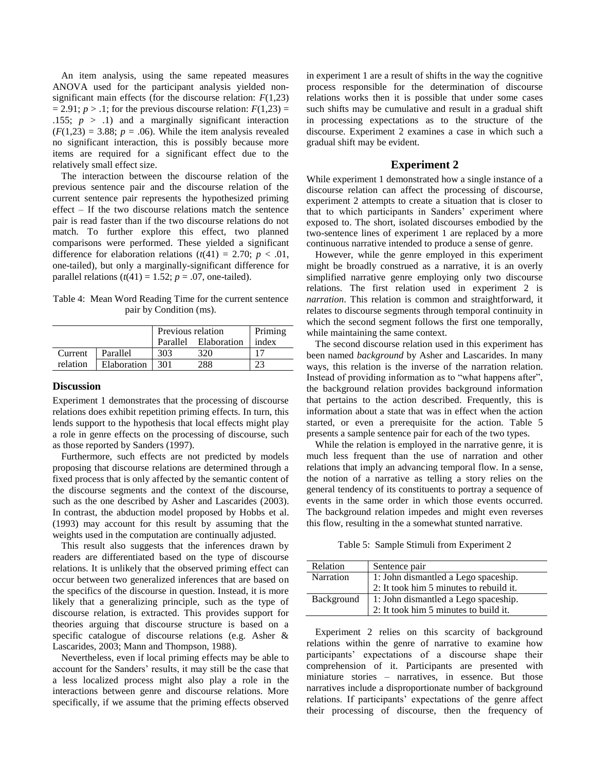An item analysis, using the same repeated measures ANOVA used for the participant analysis yielded nonsignificant main effects (for the discourse relation: *F*(1,23)  $= 2.91$ ; *p* > .1; for the previous discourse relation:  $F(1,23) =$ .155;  $p > .1$ ) and a marginally significant interaction  $(F(1,23) = 3.88; p = .06)$ . While the item analysis revealed no significant interaction, this is possibly because more items are required for a significant effect due to the relatively small effect size.

The interaction between the discourse relation of the previous sentence pair and the discourse relation of the current sentence pair represents the hypothesized priming effect – If the two discourse relations match the sentence pair is read faster than if the two discourse relations do not match. To further explore this effect, two planned comparisons were performed. These yielded a significant difference for elaboration relations  $(t(41) = 2.70; p < .01$ , one-tailed), but only a marginally-significant difference for parallel relations  $(t(41) = 1.52; p = .07$ , one-tailed).

Table 4: Mean Word Reading Time for the current sentence pair by Condition (ms).

|          |             | Previous relation |                      | Priming |
|----------|-------------|-------------------|----------------------|---------|
|          |             |                   | Parallel Elaboration | index   |
| Current  | Parallel    | 303               | 320                  |         |
| relation | Elaboration | 301               | 288                  |         |

## **Discussion**

Experiment 1 demonstrates that the processing of discourse relations does exhibit repetition priming effects. In turn, this lends support to the hypothesis that local effects might play a role in genre effects on the processing of discourse, such as those reported by Sanders (1997).

Furthermore, such effects are not predicted by models proposing that discourse relations are determined through a fixed process that is only affected by the semantic content of the discourse segments and the context of the discourse, such as the one described by Asher and Lascarides (2003). In contrast, the abduction model proposed by Hobbs et al. (1993) may account for this result by assuming that the weights used in the computation are continually adjusted.

This result also suggests that the inferences drawn by readers are differentiated based on the type of discourse relations. It is unlikely that the observed priming effect can occur between two generalized inferences that are based on the specifics of the discourse in question. Instead, it is more likely that a generalizing principle, such as the type of discourse relation, is extracted. This provides support for theories arguing that discourse structure is based on a specific catalogue of discourse relations (e.g. Asher & Lascarides, 2003; Mann and Thompson, 1988).

Nevertheless, even if local priming effects may be able to account for the Sanders' results, it may still be the case that a less localized process might also play a role in the interactions between genre and discourse relations. More specifically, if we assume that the priming effects observed in experiment 1 are a result of shifts in the way the cognitive process responsible for the determination of discourse relations works then it is possible that under some cases such shifts may be cumulative and result in a gradual shift in processing expectations as to the structure of the discourse. Experiment 2 examines a case in which such a gradual shift may be evident.

## **Experiment 2**

While experiment 1 demonstrated how a single instance of a discourse relation can affect the processing of discourse, experiment 2 attempts to create a situation that is closer to that to which participants in Sanders' experiment where exposed to. The short, isolated discourses embodied by the two-sentence lines of experiment 1 are replaced by a more continuous narrative intended to produce a sense of genre.

However, while the genre employed in this experiment might be broadly construed as a narrative, it is an overly simplified narrative genre employing only two discourse relations. The first relation used in experiment 2 is *narration*. This relation is common and straightforward, it relates to discourse segments through temporal continuity in which the second segment follows the first one temporally, while maintaining the same context.

The second discourse relation used in this experiment has been named *background* by Asher and Lascarides. In many ways, this relation is the inverse of the narration relation. Instead of providing information as to "what happens after", the background relation provides background information that pertains to the action described. Frequently, this is information about a state that was in effect when the action started, or even a prerequisite for the action. Table 5 presents a sample sentence pair for each of the two types.

While the relation is employed in the narrative genre, it is much less frequent than the use of narration and other relations that imply an advancing temporal flow. In a sense, the notion of a narrative as telling a story relies on the general tendency of its constituents to portray a sequence of events in the same order in which those events occurred. The background relation impedes and might even reverses this flow, resulting in the a somewhat stunted narrative.

Table 5: Sample Stimuli from Experiment 2

| Relation         | Sentence pair                           |  |
|------------------|-----------------------------------------|--|
| <b>Narration</b> | 1: John dismantled a Lego spaceship.    |  |
|                  | 2: It took him 5 minutes to rebuild it. |  |
| Background       | 1: John dismantled a Lego spaceship.    |  |
|                  | 2: It took him 5 minutes to build it.   |  |

Experiment 2 relies on this scarcity of background relations within the genre of narrative to examine how participants' expectations of a discourse shape their comprehension of it. Participants are presented with miniature stories – narratives, in essence. But those narratives include a disproportionate number of background relations. If participants' expectations of the genre affect their processing of discourse, then the frequency of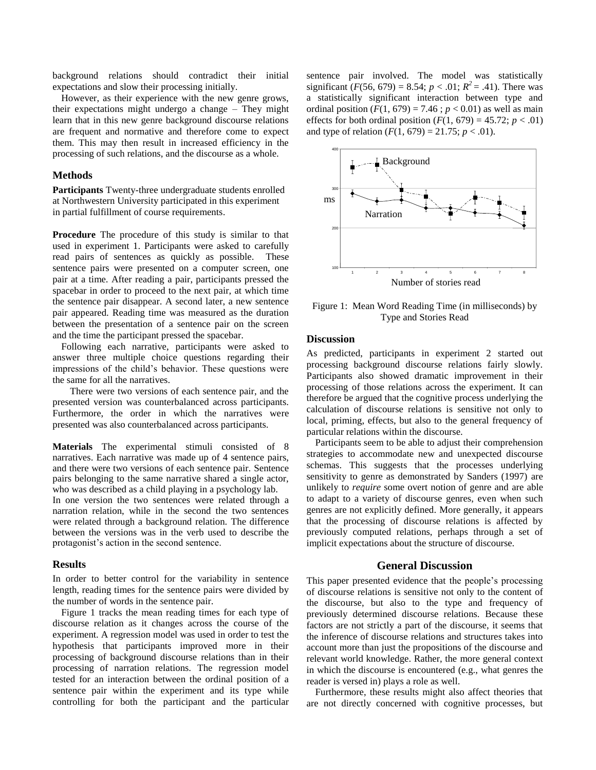background relations should contradict their initial expectations and slow their processing initially.

However, as their experience with the new genre grows, their expectations might undergo a change – They might learn that in this new genre background discourse relations are frequent and normative and therefore come to expect them. This may then result in increased efficiency in the processing of such relations, and the discourse as a whole.

# **Methods**

**Participants** Twenty-three undergraduate students enrolled at Northwestern University participated in this experiment in partial fulfillment of course requirements.

**Procedure** The procedure of this study is similar to that used in experiment 1. Participants were asked to carefully read pairs of sentences as quickly as possible. These sentence pairs were presented on a computer screen, one pair at a time. After reading a pair, participants pressed the spacebar in order to proceed to the next pair, at which time the sentence pair disappear. A second later, a new sentence pair appeared. Reading time was measured as the duration between the presentation of a sentence pair on the screen and the time the participant pressed the spacebar.

Following each narrative, participants were asked to answer three multiple choice questions regarding their impressions of the child's behavior. These questions were the same for all the narratives.

There were two versions of each sentence pair, and the presented version was counterbalanced across participants. Furthermore, the order in which the narratives were presented was also counterbalanced across participants.

**Materials** The experimental stimuli consisted of 8 narratives. Each narrative was made up of 4 sentence pairs, and there were two versions of each sentence pair. Sentence pairs belonging to the same narrative shared a single actor, who was described as a child playing in a psychology lab.

In one version the two sentences were related through a narration relation, while in the second the two sentences were related through a background relation. The difference between the versions was in the verb used to describe the protagonist's action in the second sentence.

#### **Results**

In order to better control for the variability in sentence length, reading times for the sentence pairs were divided by the number of words in the sentence pair.

Figure 1 tracks the mean reading times for each type of discourse relation as it changes across the course of the experiment. A regression model was used in order to test the hypothesis that participants improved more in their processing of background discourse relations than in their processing of narration relations. The regression model tested for an interaction between the ordinal position of a sentence pair within the experiment and its type while controlling for both the participant and the particular sentence pair involved. The model was statistically significant  $(F(56, 679) = 8.54; p < .01; R^2 = .41)$ . There was a statistically significant interaction between type and ordinal position  $(F(1, 679) = 7.46$ ;  $p < 0.01$ ) as well as main effects for both ordinal position  $(F(1, 679) = 45.72; p < .01)$ and type of relation  $(F(1, 679) = 21.75; p < .01)$ .



Figure 1: Mean Word Reading Time (in milliseconds) by Type and Stories Read

# **Discussion**

As predicted, participants in experiment 2 started out processing background discourse relations fairly slowly. Participants also showed dramatic improvement in their processing of those relations across the experiment. It can therefore be argued that the cognitive process underlying the calculation of discourse relations is sensitive not only to local, priming, effects, but also to the general frequency of particular relations within the discourse.

Participants seem to be able to adjust their comprehension strategies to accommodate new and unexpected discourse schemas. This suggests that the processes underlying sensitivity to genre as demonstrated by Sanders (1997) are unlikely to *require* some overt notion of genre and are able to adapt to a variety of discourse genres, even when such genres are not explicitly defined. More generally, it appears that the processing of discourse relations is affected by previously computed relations, perhaps through a set of implicit expectations about the structure of discourse.

## **General Discussion**

This paper presented evidence that the people's processing of discourse relations is sensitive not only to the content of the discourse, but also to the type and frequency of previously determined discourse relations. Because these factors are not strictly a part of the discourse, it seems that the inference of discourse relations and structures takes into account more than just the propositions of the discourse and relevant world knowledge. Rather, the more general context in which the discourse is encountered (e.g., what genres the reader is versed in) plays a role as well.

Furthermore, these results might also affect theories that are not directly concerned with cognitive processes, but